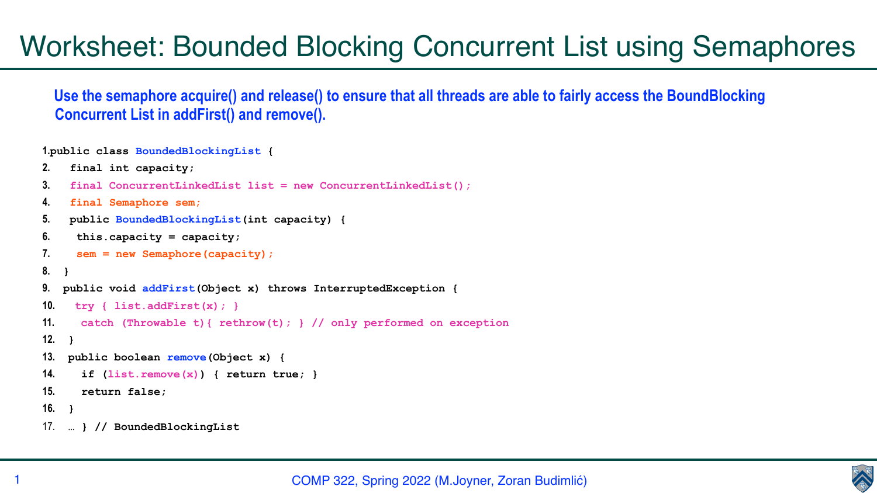COMP 322, Spring 2022 (M.Joyner, Zoran Budimlić)





## Worksheet: Bounded Blocking Concurrent List using Semaphores

 **Use the semaphore acquire() and release() to ensure that all threads are able to fairly access the BoundBlocking Concurrent List in addFirst() and remove().**

**1.public class BoundedBlockingList {**

```
2. final int capacity;
```

```
3. final ConcurrentLinkedList list = new ConcurrentLinkedList();
```
**4. final Semaphore sem;**

```
5. public BoundedBlockingList(int capacity) {
```

```
6. this.capacity = capacity;
```

```
7. sem = new Semaphore(capacity);
```

```
8. }
```

```
9. public void addFirst(Object x) throws InterruptedException {
```

```
10. try { list.addFirst(x); }
```

```
11. catch (Throwable t){ rethrow(t); } // only performed on exception
```

```
12. }
```

```
13. public boolean remove(Object x) {
```

```
14. if (list.remove(x)) { return true; }
```
**15. return false;**

**16. }** 

17. **… } // BoundedBlockingList**